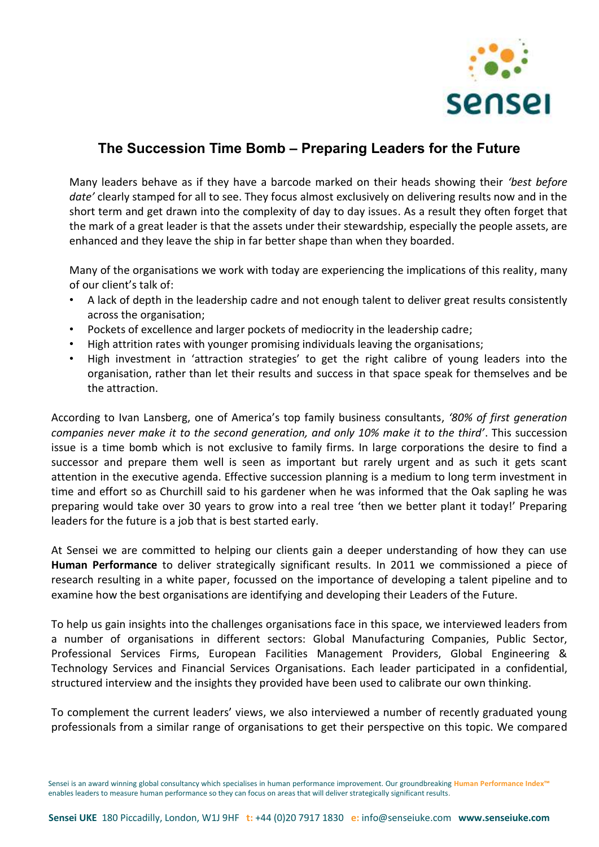

## **The Succession Time Bomb – Preparing Leaders for the Future**

Many leaders behave as if they have a barcode marked on their heads showing their *'best before date'* clearly stamped for all to see. They focus almost exclusively on delivering results now and in the short term and get drawn into the complexity of day to day issues. As a result they often forget that the mark of a great leader is that the assets under their stewardship, especially the people assets, are enhanced and they leave the ship in far better shape than when they boarded.

Many of the organisations we work with today are experiencing the implications of this reality, many of our client's talk of:

- A lack of depth in the leadership cadre and not enough talent to deliver great results consistently across the organisation;
- Pockets of excellence and larger pockets of mediocrity in the leadership cadre;
- High attrition rates with younger promising individuals leaving the organisations;
- High investment in 'attraction strategies' to get the right calibre of young leaders into the organisation, rather than let their results and success in that space speak for themselves and be the attraction.

According to Ivan Lansberg, one of America's top family business consultants, *'80% of first generation companies never make it to the second generation, and only 10% make it to the third'*. This succession issue is a time bomb which is not exclusive to family firms. In large corporations the desire to find a successor and prepare them well is seen as important but rarely urgent and as such it gets scant attention in the executive agenda. Effective succession planning is a medium to long term investment in time and effort so as Churchill said to his gardener when he was informed that the Oak sapling he was preparing would take over 30 years to grow into a real tree 'then we better plant it today!' Preparing leaders for the future is a job that is best started early.

At Sensei we are committed to helping our clients gain a deeper understanding of how they can use **Human Performance** to deliver strategically significant results. In 2011 we commissioned a piece of research resulting in a white paper, focussed on the importance of developing a talent pipeline and to examine how the best organisations are identifying and developing their Leaders of the Future.

To help us gain insights into the challenges organisations face in this space, we interviewed leaders from a number of organisations in different sectors: Global Manufacturing Companies, Public Sector, Professional Services Firms, European Facilities Management Providers, Global Engineering & Technology Services and Financial Services Organisations. Each leader participated in a confidential, structured interview and the insights they provided have been used to calibrate our own thinking.

To complement the current leaders' views, we also interviewed a number of recently graduated young professionals from a similar range of organisations to get their perspective on this topic. We compared

Sensei is an award winning global consultancy which specialises in human performance improvement. Our groundbreaking **[Human Performance Index™](http://www.senseiuke.com/human-performance-index)** enables leaders to measure human performance so they can focus on areas that will deliver strategically significant results.